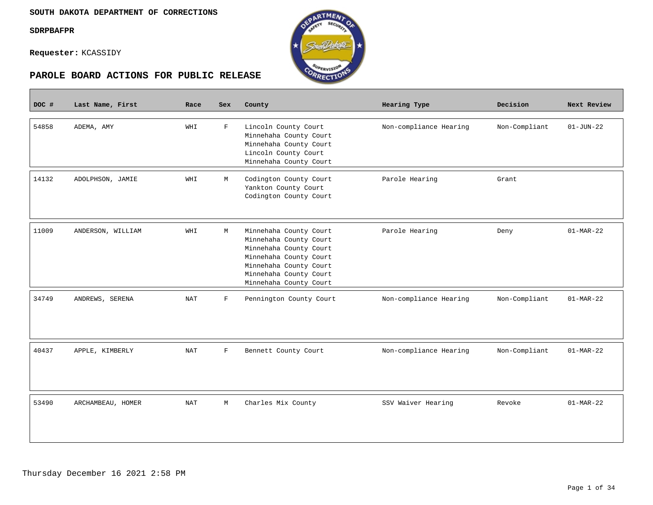**Contract** 

**Requester:** KCASSIDY





| DOC # | Last Name, First  | Race | <b>Sex</b>  | County                                                                                                                                                                             | Hearing Type           | Decision      | Next Review     |
|-------|-------------------|------|-------------|------------------------------------------------------------------------------------------------------------------------------------------------------------------------------------|------------------------|---------------|-----------------|
| 54858 | ADEMA, AMY        | WHI  | $\mathbf F$ | Lincoln County Court<br>Minnehaha County Court<br>Minnehaha County Court<br>Lincoln County Court<br>Minnehaha County Court                                                         | Non-compliance Hearing | Non-Compliant | $01 - JUN - 22$ |
| 14132 | ADOLPHSON, JAMIE  | WHI  | М           | Codington County Court<br>Yankton County Court<br>Codington County Court                                                                                                           | Parole Hearing         | Grant         |                 |
| 11009 | ANDERSON, WILLIAM | WHI  | М           | Minnehaha County Court<br>Minnehaha County Court<br>Minnehaha County Court<br>Minnehaha County Court<br>Minnehaha County Court<br>Minnehaha County Court<br>Minnehaha County Court | Parole Hearing         | Deny          | $01-MAR-22$     |
| 34749 | ANDREWS, SERENA   | NAT  | $\mathbf F$ | Pennington County Court                                                                                                                                                            | Non-compliance Hearing | Non-Compliant | $01-MAR-22$     |
| 40437 | APPLE, KIMBERLY   | NAT  | $\mathbf F$ | Bennett County Court                                                                                                                                                               | Non-compliance Hearing | Non-Compliant | $01-MAR-22$     |
| 53490 | ARCHAMBEAU, HOMER | NAT  | М           | Charles Mix County                                                                                                                                                                 | SSV Waiver Hearing     | Revoke        | $01-MAR-22$     |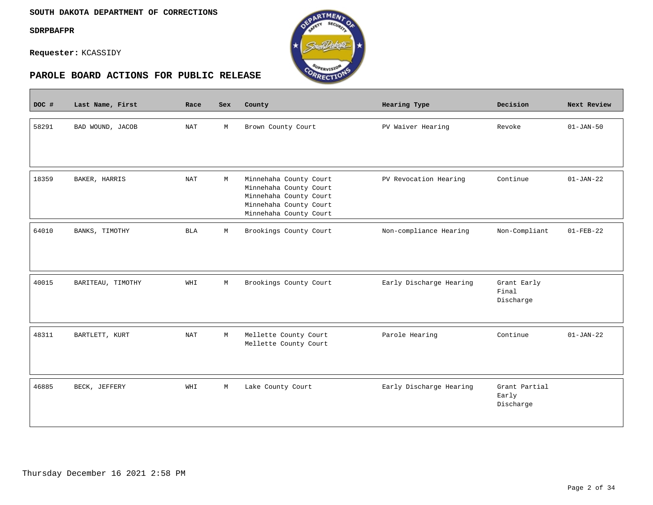#### **SOUTH DAKOTA DEPARTMENT OF CORRECTIONS**

**SDRPBAFPR**

 $\blacksquare$ 

**Requester:** KCASSIDY



| DOC # | Last Name, First  | Race       | Sex         | County                                                                                                                         | Hearing Type            | Decision                            | Next Review     |
|-------|-------------------|------------|-------------|--------------------------------------------------------------------------------------------------------------------------------|-------------------------|-------------------------------------|-----------------|
| 58291 | BAD WOUND, JACOB  | <b>NAT</b> | М           | Brown County Court                                                                                                             | PV Waiver Hearing       | Revoke                              | $01 - JAN - 50$ |
| 18359 | BAKER, HARRIS     | <b>NAT</b> | М           | Minnehaha County Court<br>Minnehaha County Court<br>Minnehaha County Court<br>Minnehaha County Court<br>Minnehaha County Court | PV Revocation Hearing   | Continue                            | $01 - JAN - 22$ |
| 64010 | BANKS, TIMOTHY    | <b>BLA</b> | M           | Brookings County Court                                                                                                         | Non-compliance Hearing  | Non-Compliant                       | $01 - FEB - 22$ |
| 40015 | BARITEAU, TIMOTHY | WHI        | $\mathbb M$ | Brookings County Court                                                                                                         | Early Discharge Hearing | Grant Early<br>Final<br>Discharge   |                 |
| 48311 | BARTLETT, KURT    | <b>NAT</b> | М           | Mellette County Court<br>Mellette County Court                                                                                 | Parole Hearing          | Continue                            | $01 - JAN - 22$ |
| 46885 | BECK, JEFFERY     | WHI        | M           | Lake County Court                                                                                                              | Early Discharge Hearing | Grant Partial<br>Early<br>Discharge |                 |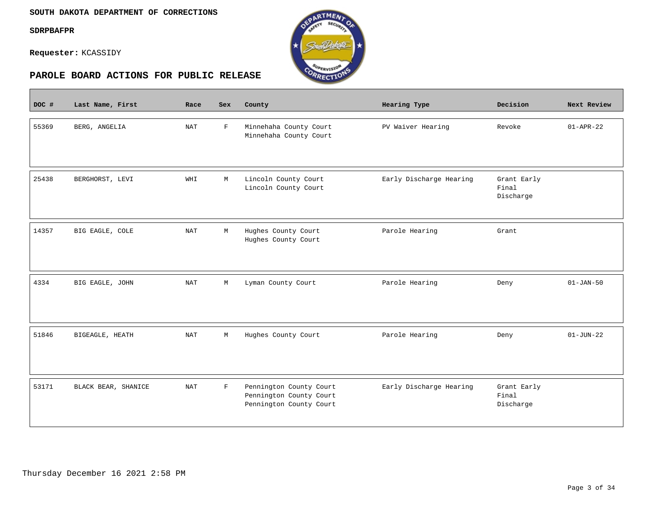$\overline{\phantom{a}}$ 

**Requester:** KCASSIDY



| DOC # | Last Name, First    | Race       | <b>Sex</b>   | County                                                                        | Hearing Type            | Decision                          | Next Review     |
|-------|---------------------|------------|--------------|-------------------------------------------------------------------------------|-------------------------|-----------------------------------|-----------------|
| 55369 | BERG, ANGELIA       | <b>NAT</b> | $\mathbf{F}$ | Minnehaha County Court<br>Minnehaha County Court                              | PV Waiver Hearing       | Revoke                            | $01 - APR - 22$ |
| 25438 | BERGHORST, LEVI     | WHI        | М            | Lincoln County Court<br>Lincoln County Court                                  | Early Discharge Hearing | Grant Early<br>Final<br>Discharge |                 |
| 14357 | BIG EAGLE, COLE     | <b>NAT</b> | $\mathbb M$  | Hughes County Court<br>Hughes County Court                                    | Parole Hearing          | Grant                             |                 |
| 4334  | BIG EAGLE, JOHN     | <b>NAT</b> | М            | Lyman County Court                                                            | Parole Hearing          | Deny                              | $01 - JAN - 50$ |
| 51846 | BIGEAGLE, HEATH     | NAT        | М            | Hughes County Court                                                           | Parole Hearing          | Deny                              | $01 - JUN - 22$ |
| 53171 | BLACK BEAR, SHANICE | <b>NAT</b> | $\mathbf{F}$ | Pennington County Court<br>Pennington County Court<br>Pennington County Court | Early Discharge Hearing | Grant Early<br>Final<br>Discharge |                 |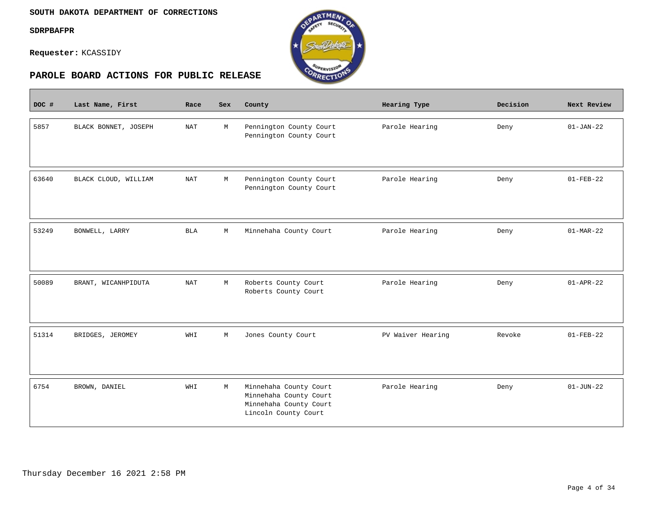$\overline{\phantom{a}}$ 

**Requester:** KCASSIDY



| DOC # | Last Name, First     | Race                 | <b>Sex</b> | County                                                                                             | Hearing Type      | Decision | Next Review     |
|-------|----------------------|----------------------|------------|----------------------------------------------------------------------------------------------------|-------------------|----------|-----------------|
| 5857  | BLACK BONNET, JOSEPH | $\operatorname{NAT}$ | М          | Pennington County Court<br>Pennington County Court                                                 | Parole Hearing    | Deny     | $01 - JAN - 22$ |
| 63640 | BLACK CLOUD, WILLIAM | <b>NAT</b>           | М          | Pennington County Court<br>Pennington County Court                                                 | Parole Hearing    | Deny     | $01 - FEB - 22$ |
| 53249 | BONWELL, LARRY       | <b>BLA</b>           | М          | Minnehaha County Court                                                                             | Parole Hearing    | Deny     | $01-MAR-22$     |
| 50089 | BRANT, WICANHPIDUTA  | $\operatorname{NAT}$ | М          | Roberts County Court<br>Roberts County Court                                                       | Parole Hearing    | Deny     | $01 - APR - 22$ |
| 51314 | BRIDGES, JEROMEY     | WHI                  | М          | Jones County Court                                                                                 | PV Waiver Hearing | Revoke   | $01 - FEB - 22$ |
| 6754  | BROWN, DANIEL        | WHI                  | М          | Minnehaha County Court<br>Minnehaha County Court<br>Minnehaha County Court<br>Lincoln County Court | Parole Hearing    | Deny     | $01 - JUN - 22$ |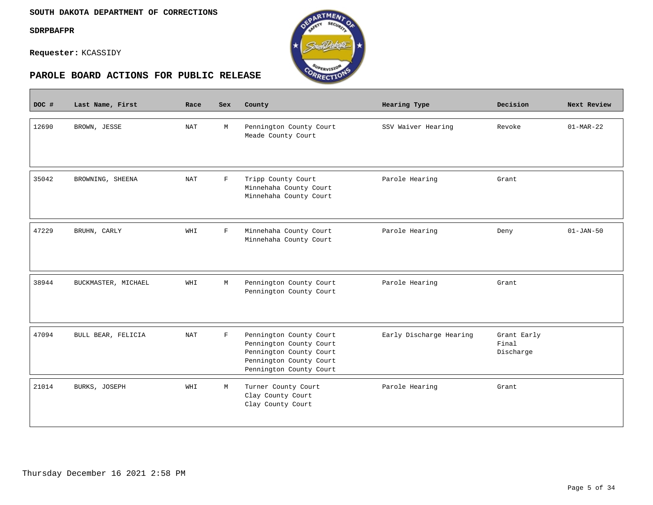$\overline{\phantom{a}}$ 

**Requester:** KCASSIDY



| DOC # | Last Name, First    | Race                 | <b>Sex</b>   | County                                                                                                                              | Hearing Type            | Decision                          | Next Review     |
|-------|---------------------|----------------------|--------------|-------------------------------------------------------------------------------------------------------------------------------------|-------------------------|-----------------------------------|-----------------|
| 12690 | BROWN, JESSE        | <b>NAT</b>           | М            | Pennington County Court<br>Meade County Court                                                                                       | SSV Waiver Hearing      | Revoke                            | $01-MAR-22$     |
| 35042 | BROWNING, SHEENA    | $\operatorname{NAT}$ | $\mathbf F$  | Tripp County Court<br>Minnehaha County Court<br>Minnehaha County Court                                                              | Parole Hearing          | Grant                             |                 |
| 47229 | BRUHN, CARLY        | WHI                  | $\mathbf{F}$ | Minnehaha County Court<br>Minnehaha County Court                                                                                    | Parole Hearing          | Deny                              | $01 - JAN - 50$ |
| 38944 | BUCKMASTER, MICHAEL | WHI                  | М            | Pennington County Court<br>Pennington County Court                                                                                  | Parole Hearing          | Grant                             |                 |
| 47094 | BULL BEAR, FELICIA  | <b>NAT</b>           | $\mathbf F$  | Pennington County Court<br>Pennington County Court<br>Pennington County Court<br>Pennington County Court<br>Pennington County Court | Early Discharge Hearing | Grant Early<br>Final<br>Discharge |                 |
| 21014 | BURKS, JOSEPH       | WHI                  | М            | Turner County Court<br>Clay County Court<br>Clay County Court                                                                       | Parole Hearing          | Grant                             |                 |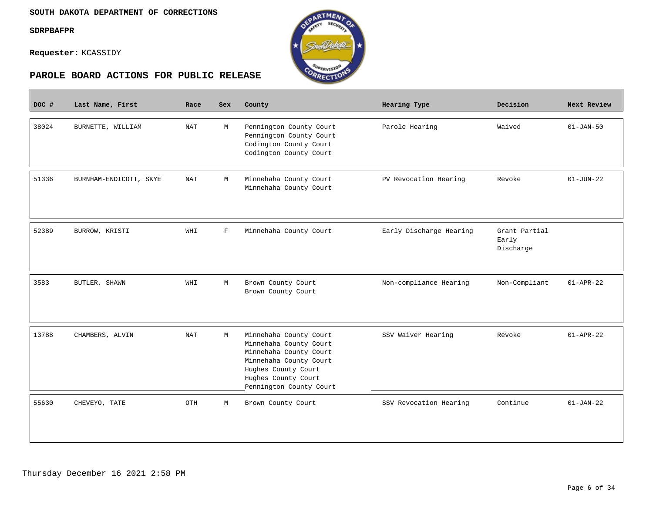$\overline{\phantom{a}}$ 

**Requester:** KCASSIDY



| DOC # | Last Name, First       | Race       | <b>Sex</b>  | County                                                                                                                                                                        | Hearing Type            | Decision                            | Next Review     |
|-------|------------------------|------------|-------------|-------------------------------------------------------------------------------------------------------------------------------------------------------------------------------|-------------------------|-------------------------------------|-----------------|
| 38024 | BURNETTE, WILLIAM      | NAT        | M           | Pennington County Court<br>Pennington County Court<br>Codington County Court<br>Codington County Court                                                                        | Parole Hearing          | Waived                              | $01 - JAN-50$   |
| 51336 | BURNHAM-ENDICOTT, SKYE | NAT        | М           | Minnehaha County Court<br>Minnehaha County Court                                                                                                                              | PV Revocation Hearing   | Revoke                              | $01 - JUN - 22$ |
| 52389 | BURROW, KRISTI         | WHI        | $\mathbf F$ | Minnehaha County Court                                                                                                                                                        | Early Discharge Hearing | Grant Partial<br>Early<br>Discharge |                 |
| 3583  | BUTLER, SHAWN          | WHI        | M           | Brown County Court<br>Brown County Court                                                                                                                                      | Non-compliance Hearing  | Non-Compliant                       | $01 - APR - 22$ |
| 13788 | CHAMBERS, ALVIN        | <b>NAT</b> | М           | Minnehaha County Court<br>Minnehaha County Court<br>Minnehaha County Court<br>Minnehaha County Court<br>Hughes County Court<br>Hughes County Court<br>Pennington County Court | SSV Waiver Hearing      | Revoke                              | $01 - APR - 22$ |
| 55630 | CHEVEYO, TATE          | OTH        | М           | Brown County Court                                                                                                                                                            | SSV Revocation Hearing  | Continue                            | $01 - JAN - 22$ |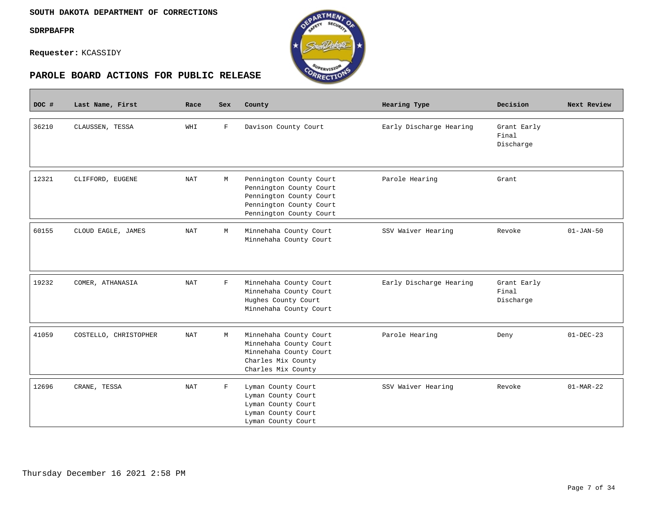$\overline{\phantom{a}}$ 

**Requester:** KCASSIDY



| DOC # | Last Name, First      | Race       | Sex         | County                                                                                                                              | Hearing Type            | Decision                          | Next Review     |
|-------|-----------------------|------------|-------------|-------------------------------------------------------------------------------------------------------------------------------------|-------------------------|-----------------------------------|-----------------|
| 36210 | CLAUSSEN, TESSA       | WHI        | $\mathbf F$ | Davison County Court                                                                                                                | Early Discharge Hearing | Grant Early<br>Final<br>Discharge |                 |
| 12321 | CLIFFORD, EUGENE      | NAT        | М           | Pennington County Court<br>Pennington County Court<br>Pennington County Court<br>Pennington County Court<br>Pennington County Court | Parole Hearing          | Grant                             |                 |
| 60155 | CLOUD EAGLE, JAMES    | <b>NAT</b> | М           | Minnehaha County Court<br>Minnehaha County Court                                                                                    | SSV Waiver Hearing      | Revoke                            | $01 - JAN - 50$ |
| 19232 | COMER, ATHANASIA      | <b>NAT</b> | $\mathbf F$ | Minnehaha County Court<br>Minnehaha County Court<br>Hughes County Court<br>Minnehaha County Court                                   | Early Discharge Hearing | Grant Early<br>Final<br>Discharge |                 |
| 41059 | COSTELLO, CHRISTOPHER | NAT        | M           | Minnehaha County Court<br>Minnehaha County Court<br>Minnehaha County Court<br>Charles Mix County<br>Charles Mix County              | Parole Hearing          | Deny                              | $01-DEC-23$     |
| 12696 | CRANE, TESSA          | NAT        | F           | Lyman County Court<br>Lyman County Court<br>Lyman County Court<br>Lyman County Court<br>Lyman County Court                          | SSV Waiver Hearing      | Revoke                            | $01-MAR-22$     |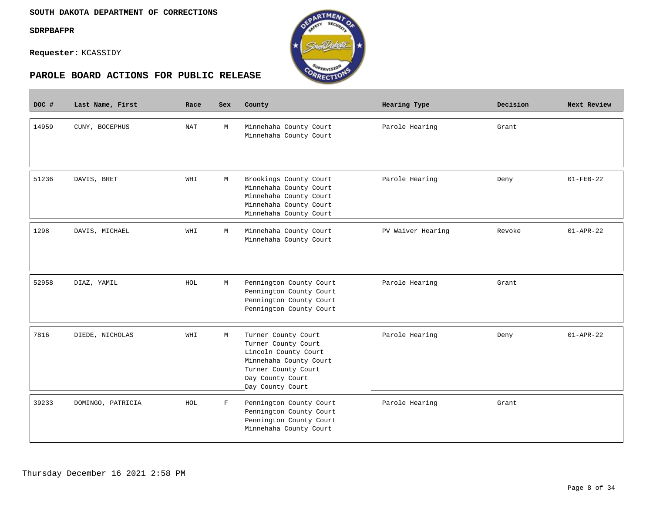$\mathbb{R}^n$ 

**Requester:** KCASSIDY



| DOC # | Last Name, First  | Race | <b>Sex</b>  | County                                                                                                                                                      | Hearing Type      | Decision | Next Review     |
|-------|-------------------|------|-------------|-------------------------------------------------------------------------------------------------------------------------------------------------------------|-------------------|----------|-----------------|
| 14959 | CUNY, BOCEPHUS    | NAT  | М           | Minnehaha County Court<br>Minnehaha County Court                                                                                                            | Parole Hearing    | Grant    |                 |
| 51236 | DAVIS, BRET       | WHI  | М           | Brookings County Court<br>Minnehaha County Court<br>Minnehaha County Court<br>Minnehaha County Court<br>Minnehaha County Court                              | Parole Hearing    | Deny     | $01 - FEB - 22$ |
| 1298  | DAVIS, MICHAEL    | WHI  | M           | Minnehaha County Court<br>Minnehaha County Court                                                                                                            | PV Waiver Hearing | Revoke   | $01 - APR - 22$ |
| 52958 | DIAZ, YAMIL       | HOL  | М           | Pennington County Court<br>Pennington County Court<br>Pennington County Court<br>Pennington County Court                                                    | Parole Hearing    | Grant    |                 |
| 7816  | DIEDE, NICHOLAS   | WHI  | М           | Turner County Court<br>Turner County Court<br>Lincoln County Court<br>Minnehaha County Court<br>Turner County Court<br>Day County Court<br>Day County Court | Parole Hearing    | Deny     | $01 - APR - 22$ |
| 39233 | DOMINGO, PATRICIA | HOL  | $\mathbf F$ | Pennington County Court<br>Pennington County Court<br>Pennington County Court<br>Minnehaha County Court                                                     | Parole Hearing    | Grant    |                 |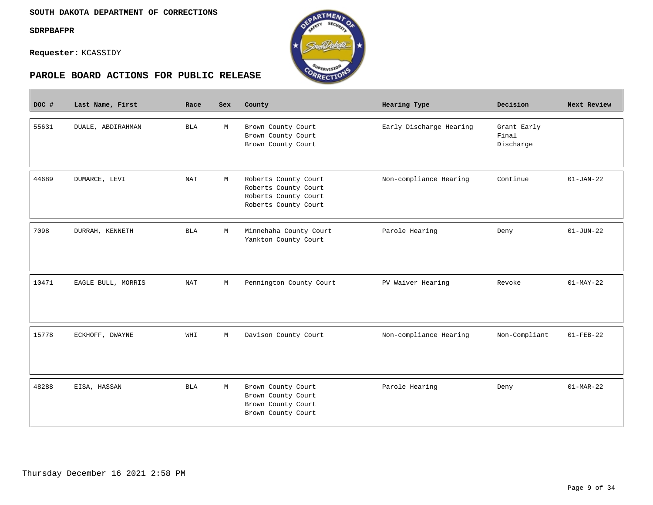Г

**Requester:** KCASSIDY





| DOC # | Last Name, First   | Race       | <b>Sex</b> | County                                                                                       | Hearing Type            | Decision                          | Next Review     |
|-------|--------------------|------------|------------|----------------------------------------------------------------------------------------------|-------------------------|-----------------------------------|-----------------|
| 55631 | DUALE, ABDIRAHMAN  | <b>BLA</b> | М          | Brown County Court<br>Brown County Court<br>Brown County Court                               | Early Discharge Hearing | Grant Early<br>Final<br>Discharge |                 |
| 44689 | DUMARCE, LEVI      | NAT        | М          | Roberts County Court<br>Roberts County Court<br>Roberts County Court<br>Roberts County Court | Non-compliance Hearing  | Continue                          | $01 - JAN - 22$ |
| 7098  | DURRAH, KENNETH    | <b>BLA</b> | М          | Minnehaha County Court<br>Yankton County Court                                               | Parole Hearing          | Deny                              | $01 - JUN - 22$ |
| 10471 | EAGLE BULL, MORRIS | NAT        | М          | Pennington County Court                                                                      | PV Waiver Hearing       | Revoke                            | $01-MAY-22$     |
| 15778 | ECKHOFF, DWAYNE    | WHI        | М          | Davison County Court                                                                         | Non-compliance Hearing  | Non-Compliant                     | $01 - FEB - 22$ |
| 48288 | EISA, HASSAN       | <b>BLA</b> | М          | Brown County Court<br>Brown County Court<br>Brown County Court<br>Brown County Court         | Parole Hearing          | Deny                              | $01-MAR-22$     |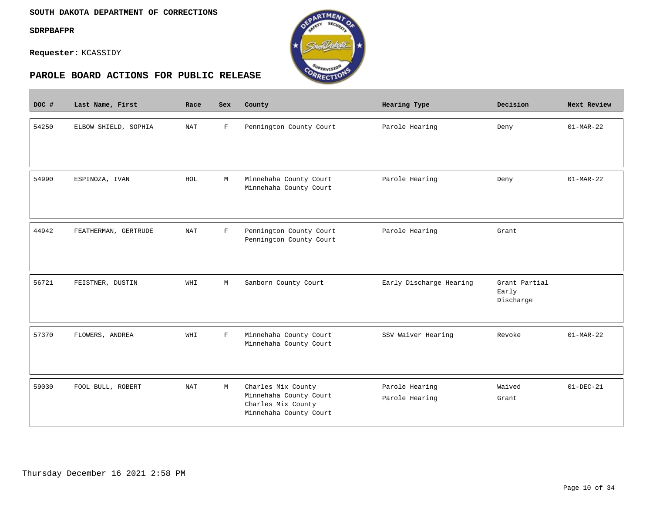$\equiv$ 

**Requester:** KCASSIDY



| DOC # | Last Name, First     | Race       | <b>Sex</b>  | County                                                                                       | Hearing Type                     | Decision                            | Next Review     |
|-------|----------------------|------------|-------------|----------------------------------------------------------------------------------------------|----------------------------------|-------------------------------------|-----------------|
| 54250 | ELBOW SHIELD, SOPHIA | NAT        | $\mathbf F$ | Pennington County Court                                                                      | Parole Hearing                   | Deny                                | $01-MAR-22$     |
| 54990 | ESPINOZA, IVAN       | HOL        | М           | Minnehaha County Court<br>Minnehaha County Court                                             | Parole Hearing                   | Deny                                | $01-MAR-22$     |
| 44942 | FEATHERMAN, GERTRUDE | <b>NAT</b> | $\mathbf F$ | Pennington County Court<br>Pennington County Court                                           | Parole Hearing                   | Grant                               |                 |
| 56721 | FEISTNER, DUSTIN     | WHI        | М           | Sanborn County Court                                                                         | Early Discharge Hearing          | Grant Partial<br>Early<br>Discharge |                 |
| 57370 | FLOWERS, ANDREA      | WHI        | $\mathbf F$ | Minnehaha County Court<br>Minnehaha County Court                                             | SSV Waiver Hearing               | Revoke                              | $01-MAR-22$     |
| 59030 | FOOL BULL, ROBERT    | <b>NAT</b> | М           | Charles Mix County<br>Minnehaha County Court<br>Charles Mix County<br>Minnehaha County Court | Parole Hearing<br>Parole Hearing | Waived<br>Grant                     | $01 - DEC - 21$ |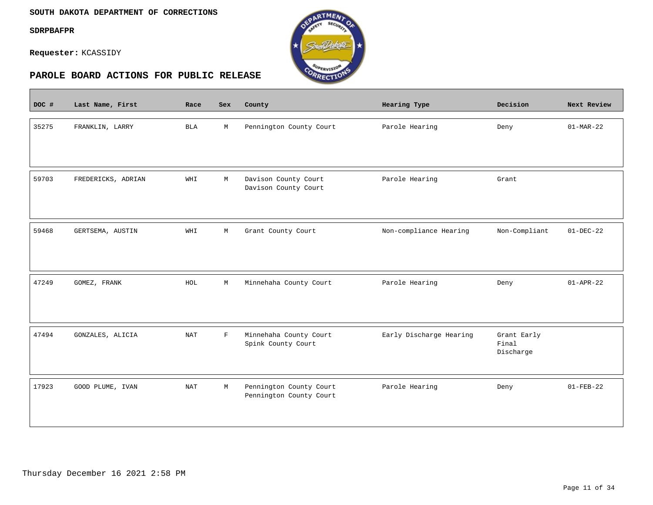#### **SOUTH DAKOTA DEPARTMENT OF CORRECTIONS**

**SDRPBAFPR**

 $\overline{\phantom{a}}$ 

**Requester:** KCASSIDY



| DOC # | Last Name, First   | Race       | Sex          | County                                             | Hearing Type            | Decision                          | Next Review     |
|-------|--------------------|------------|--------------|----------------------------------------------------|-------------------------|-----------------------------------|-----------------|
| 35275 | FRANKLIN, LARRY    | <b>BLA</b> | M            | Pennington County Court                            | Parole Hearing          | Deny                              | $01-MAR-22$     |
| 59703 | FREDERICKS, ADRIAN | WHI        | M            | Davison County Court<br>Davison County Court       | Parole Hearing          | Grant                             |                 |
| 59468 | GERTSEMA, AUSTIN   | WHI        | M            | Grant County Court                                 | Non-compliance Hearing  | Non-Compliant                     | $01-DEC-22$     |
| 47249 | GOMEZ, FRANK       | HOL        | $\mathbb M$  | Minnehaha County Court                             | Parole Hearing          | Deny                              | $01 - APR - 22$ |
| 47494 | GONZALES, ALICIA   | <b>NAT</b> | $\mathbf{F}$ | Minnehaha County Court<br>Spink County Court       | Early Discharge Hearing | Grant Early<br>Final<br>Discharge |                 |
| 17923 | GOOD PLUME, IVAN   | <b>NAT</b> | M            | Pennington County Court<br>Pennington County Court | Parole Hearing          | Deny                              | $01 - FEB - 22$ |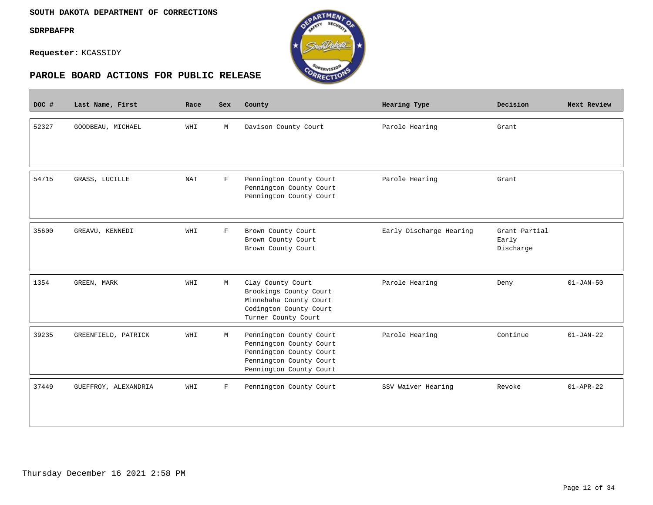$\overline{\phantom{a}}$ 

**Requester:** KCASSIDY



| DOC # | Last Name, First     | Race       | Sex          | County                                                                                                                              | Hearing Type            | Decision                            | Next Review     |
|-------|----------------------|------------|--------------|-------------------------------------------------------------------------------------------------------------------------------------|-------------------------|-------------------------------------|-----------------|
| 52327 | GOODBEAU, MICHAEL    | WHI        | M            | Davison County Court                                                                                                                | Parole Hearing          | Grant                               |                 |
| 54715 | GRASS, LUCILLE       | <b>NAT</b> | $\mathbf{F}$ | Pennington County Court<br>Pennington County Court<br>Pennington County Court                                                       | Parole Hearing          | Grant                               |                 |
| 35600 | GREAVU, KENNEDI      | WHI        | $\mathbf F$  | Brown County Court<br>Brown County Court<br>Brown County Court                                                                      | Early Discharge Hearing | Grant Partial<br>Early<br>Discharge |                 |
| 1354  | GREEN, MARK          | WHI        | M            | Clay County Court<br>Brookings County Court<br>Minnehaha County Court<br>Codington County Court<br>Turner County Court              | Parole Hearing          | Deny                                | $01 - JAN - 50$ |
| 39235 | GREENFIELD, PATRICK  | WHI        | М            | Pennington County Court<br>Pennington County Court<br>Pennington County Court<br>Pennington County Court<br>Pennington County Court | Parole Hearing          | Continue                            | $01 - JAN - 22$ |
| 37449 | GUEFFROY, ALEXANDRIA | WHI        | $\mathbf{F}$ | Pennington County Court                                                                                                             | SSV Waiver Hearing      | Revoke                              | $01 - APR - 22$ |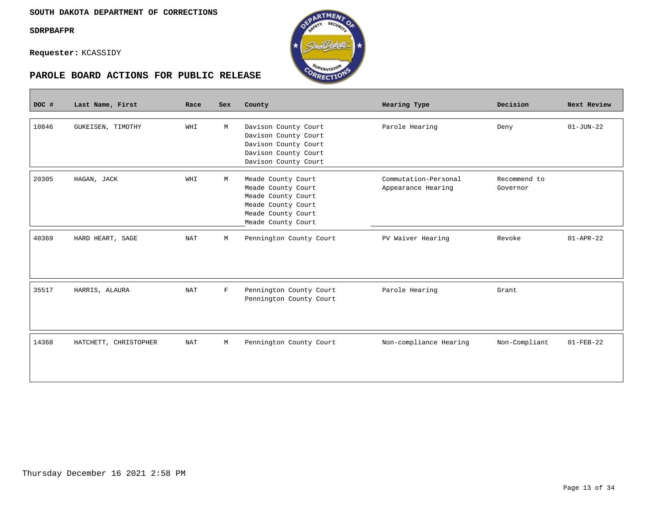**Contract** 

**Requester:** KCASSIDY



| DOC # | Last Name, First      | Race       | Sex         | County                                                                                                                           | Hearing Type                               | Decision                 | Next Review     |
|-------|-----------------------|------------|-------------|----------------------------------------------------------------------------------------------------------------------------------|--------------------------------------------|--------------------------|-----------------|
| 10846 | GUKEISEN, TIMOTHY     | WHI        | M           | Davison County Court<br>Davison County Court<br>Davison County Court<br>Davison County Court<br>Davison County Court             | Parole Hearing                             | Deny                     | $01 - JUN - 22$ |
| 20305 | HAGAN, JACK           | WHI        | M           | Meade County Court<br>Meade County Court<br>Meade County Court<br>Meade County Court<br>Meade County Court<br>Meade County Court | Commutation-Personal<br>Appearance Hearing | Recommend to<br>Governor |                 |
| 40369 | HARD HEART, SAGE      | <b>NAT</b> | М           | Pennington County Court                                                                                                          | PV Waiver Hearing                          | Revoke                   | $01 - APR - 22$ |
| 35517 | HARRIS, ALAURA        | <b>NAT</b> | $\mathbf F$ | Pennington County Court<br>Pennington County Court                                                                               | Parole Hearing                             | Grant                    |                 |
| 14368 | HATCHETT, CHRISTOPHER | <b>NAT</b> | М           | Pennington County Court                                                                                                          | Non-compliance Hearing                     | Non-Compliant            | $01 - FEB - 22$ |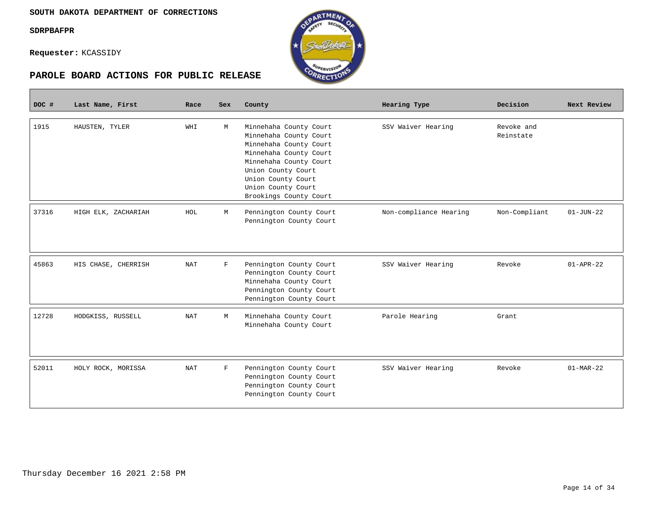**Requester:** KCASSIDY



| DOC # | Last Name, First    | Race       | <b>Sex</b> | County                                                                                                                                                                                                                     | Hearing Type           | Decision                | Next Review     |
|-------|---------------------|------------|------------|----------------------------------------------------------------------------------------------------------------------------------------------------------------------------------------------------------------------------|------------------------|-------------------------|-----------------|
| 1915  | HAUSTEN, TYLER      | WHI        | M          | Minnehaha County Court<br>Minnehaha County Court<br>Minnehaha County Court<br>Minnehaha County Court<br>Minnehaha County Court<br>Union County Court<br>Union County Court<br>Union County Court<br>Brookings County Court | SSV Waiver Hearing     | Revoke and<br>Reinstate |                 |
| 37316 | HIGH ELK, ZACHARIAH | HOL        | М          | Pennington County Court<br>Pennington County Court                                                                                                                                                                         | Non-compliance Hearing | Non-Compliant           | $01 - JUN - 22$ |
| 45863 | HIS CHASE, CHERRISH | <b>NAT</b> | F          | Pennington County Court<br>Pennington County Court<br>Minnehaha County Court<br>Pennington County Court<br>Pennington County Court                                                                                         | SSV Waiver Hearing     | Revoke                  | $01 - APR - 22$ |
| 12728 | HODGKISS, RUSSELL   | NAT        | М          | Minnehaha County Court<br>Minnehaha County Court                                                                                                                                                                           | Parole Hearing         | Grant                   |                 |
| 52011 | HOLY ROCK, MORISSA  | NAT        | F          | Pennington County Court<br>Pennington County Court<br>Pennington County Court<br>Pennington County Court                                                                                                                   | SSV Waiver Hearing     | Revoke                  | $01-MAR-22$     |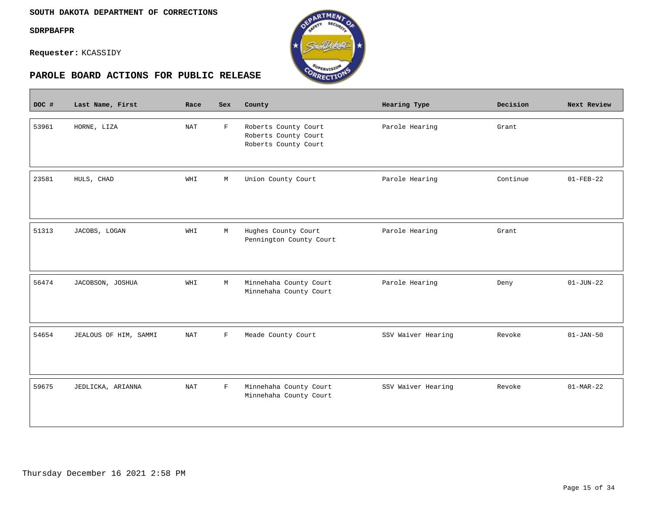$\mathcal{L}^{\text{max}}_{\text{max}}$ 

**Requester:** KCASSIDY



| DOC # | Last Name, First      | Race                 | Sex          | County                                                               | Hearing Type       | Decision | Next Review     |
|-------|-----------------------|----------------------|--------------|----------------------------------------------------------------------|--------------------|----------|-----------------|
| 53961 | HORNE, LIZA           | <b>NAT</b>           | $\mathbf{F}$ | Roberts County Court<br>Roberts County Court<br>Roberts County Court | Parole Hearing     | Grant    |                 |
| 23581 | HULS, CHAD            | WHI                  | М            | Union County Court                                                   | Parole Hearing     | Continue | $01 - FEB - 22$ |
| 51313 | JACOBS, LOGAN         | WHI                  | M            | Hughes County Court<br>Pennington County Court                       | Parole Hearing     | Grant    |                 |
| 56474 | JACOBSON, JOSHUA      | WHI                  | М            | Minnehaha County Court<br>Minnehaha County Court                     | Parole Hearing     | Deny     | $01 - JUN - 22$ |
| 54654 | JEALOUS OF HIM, SAMMI | NAT                  | $\mathbf{F}$ | Meade County Court                                                   | SSV Waiver Hearing | Revoke   | $01 - JAN - 50$ |
| 59675 | JEDLICKA, ARIANNA     | $\operatorname{NAT}$ | $\mathbf F$  | Minnehaha County Court<br>Minnehaha County Court                     | SSV Waiver Hearing | Revoke   | $01-MAR-22$     |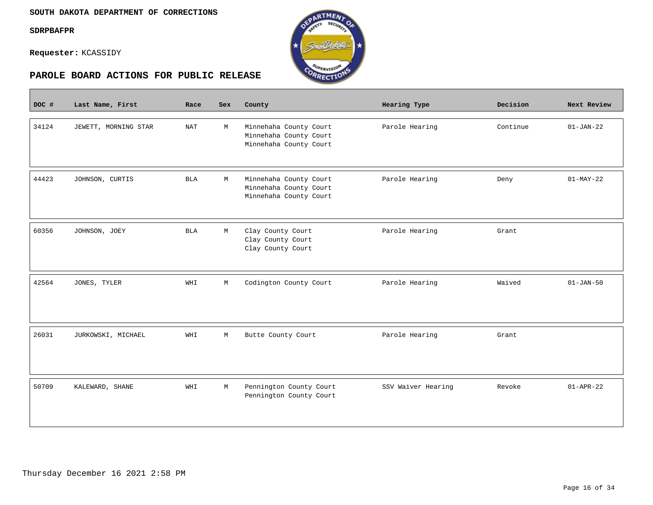$\mathcal{L}^{\text{max}}_{\text{max}}$ 

**Requester:** KCASSIDY



| DOC # | Last Name, First     | Race       | Sex | County                                                                     | Hearing Type       | Decision | Next Review     |
|-------|----------------------|------------|-----|----------------------------------------------------------------------------|--------------------|----------|-----------------|
| 34124 | JEWETT, MORNING STAR | <b>NAT</b> | М   | Minnehaha County Court<br>Minnehaha County Court<br>Minnehaha County Court | Parole Hearing     | Continue | $01-JAN-22$     |
| 44423 | JOHNSON, CURTIS      | <b>BLA</b> | M   | Minnehaha County Court<br>Minnehaha County Court<br>Minnehaha County Court | Parole Hearing     | Deny     | $01-MAY-22$     |
| 60356 | JOHNSON, JOEY        | <b>BLA</b> | М   | Clay County Court<br>Clay County Court<br>Clay County Court                | Parole Hearing     | Grant    |                 |
| 42564 | JONES, TYLER         | WHI        | М   | Codington County Court                                                     | Parole Hearing     | Waived   | $01 - JAN - 50$ |
| 26031 | JURKOWSKI, MICHAEL   | WHI        | М   | Butte County Court                                                         | Parole Hearing     | Grant    |                 |
| 50709 | KALEWARD, SHANE      | WHI        | М   | Pennington County Court<br>Pennington County Court                         | SSV Waiver Hearing | Revoke   | $01 - APR - 22$ |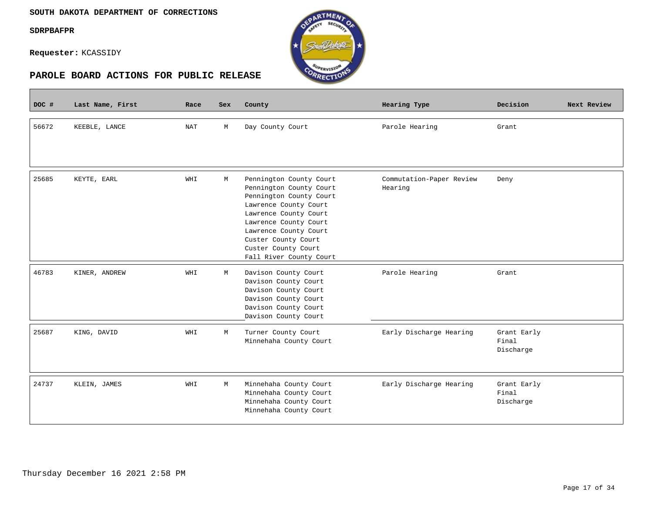#### **SOUTH DAKOTA DEPARTMENT OF CORRECTIONS**

#### **SDRPBAFPR**

**Requester:** KCASSIDY





| DOC # | Last Name, First | Race                 | <b>Sex</b> | County                                                                                                                                                                                                                                                     | Hearing Type                        | Decision                          | Next Review |
|-------|------------------|----------------------|------------|------------------------------------------------------------------------------------------------------------------------------------------------------------------------------------------------------------------------------------------------------------|-------------------------------------|-----------------------------------|-------------|
| 56672 | KEEBLE, LANCE    | $\operatorname{NAT}$ | M          | Day County Court                                                                                                                                                                                                                                           | Parole Hearing                      | Grant                             |             |
| 25685 | KEYTE, EARL      | WHI                  | M          | Pennington County Court<br>Pennington County Court<br>Pennington County Court<br>Lawrence County Court<br>Lawrence County Court<br>Lawrence County Court<br>Lawrence County Court<br>Custer County Court<br>Custer County Court<br>Fall River County Court | Commutation-Paper Review<br>Hearing | Deny                              |             |
| 46783 | KINER, ANDREW    | WHI                  | M          | Davison County Court<br>Davison County Court<br>Davison County Court<br>Davison County Court<br>Davison County Court<br>Davison County Court                                                                                                               | Parole Hearing                      | Grant                             |             |
| 25687 | KING, DAVID      | WHI                  | М          | Turner County Court<br>Minnehaha County Court                                                                                                                                                                                                              | Early Discharge Hearing             | Grant Early<br>Final<br>Discharge |             |
| 24737 | KLEIN, JAMES     | WHI                  | M          | Minnehaha County Court<br>Minnehaha County Court<br>Minnehaha County Court<br>Minnehaha County Court                                                                                                                                                       | Early Discharge Hearing             | Grant Early<br>Final<br>Discharge |             |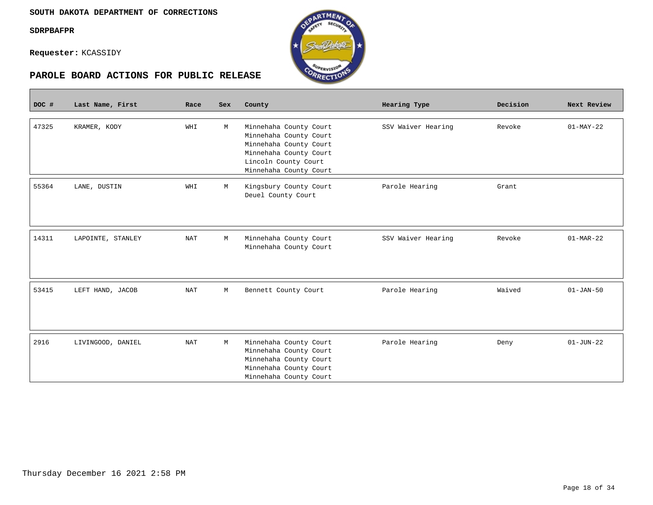**Contract** 

**Requester:** KCASSIDY



| DOC # | Last Name, First  | Race                 | Sex | County                 | Hearing Type       | Decision | Next Review     |
|-------|-------------------|----------------------|-----|------------------------|--------------------|----------|-----------------|
|       |                   |                      |     |                        |                    |          |                 |
| 47325 | KRAMER, KODY      | WHI                  | М   | Minnehaha County Court | SSV Waiver Hearing | Revoke   | $01-MAY-22$     |
|       |                   |                      |     | Minnehaha County Court |                    |          |                 |
|       |                   |                      |     | Minnehaha County Court |                    |          |                 |
|       |                   |                      |     | Minnehaha County Court |                    |          |                 |
|       |                   |                      |     | Lincoln County Court   |                    |          |                 |
|       |                   |                      |     | Minnehaha County Court |                    |          |                 |
| 55364 | LANE, DUSTIN      | WHI                  | М   | Kingsbury County Court | Parole Hearing     | Grant    |                 |
|       |                   |                      |     | Deuel County Court     |                    |          |                 |
|       |                   |                      |     |                        |                    |          |                 |
|       |                   |                      |     |                        |                    |          |                 |
|       |                   |                      |     |                        |                    |          |                 |
| 14311 | LAPOINTE, STANLEY | NAT                  | М   | Minnehaha County Court | SSV Waiver Hearing | Revoke   | $01-MAR-22$     |
|       |                   |                      |     | Minnehaha County Court |                    |          |                 |
|       |                   |                      |     |                        |                    |          |                 |
|       |                   |                      |     |                        |                    |          |                 |
|       |                   |                      |     |                        |                    |          |                 |
| 53415 | LEFT HAND, JACOB  | NAT                  | М   | Bennett County Court   | Parole Hearing     | Waived   | $01 - JAN - 50$ |
|       |                   |                      |     |                        |                    |          |                 |
|       |                   |                      |     |                        |                    |          |                 |
|       |                   |                      |     |                        |                    |          |                 |
| 2916  | LIVINGOOD, DANIEL | $\operatorname{NAT}$ | М   | Minnehaha County Court | Parole Hearing     | Deny     | $01 - JUN - 22$ |
|       |                   |                      |     | Minnehaha County Court |                    |          |                 |
|       |                   |                      |     | Minnehaha County Court |                    |          |                 |
|       |                   |                      |     | Minnehaha County Court |                    |          |                 |
|       |                   |                      |     | Minnehaha County Court |                    |          |                 |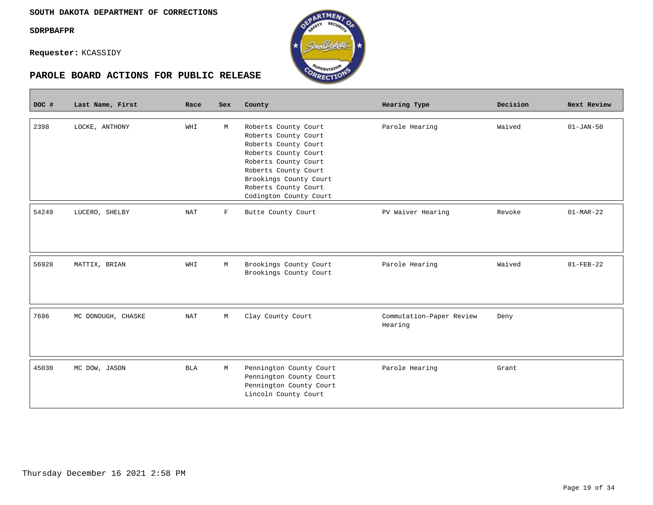$\overline{\phantom{a}}$ 

**Requester:** KCASSIDY

| DOC # | Last Name, First   | Race                 | Sex          | County                                                                                                                                                                                                                   | Hearing Type                        | Decision | Next Review     |
|-------|--------------------|----------------------|--------------|--------------------------------------------------------------------------------------------------------------------------------------------------------------------------------------------------------------------------|-------------------------------------|----------|-----------------|
| 2398  | LOCKE, ANTHONY     | WHI                  | M            | Roberts County Court<br>Roberts County Court<br>Roberts County Court<br>Roberts County Court<br>Roberts County Court<br>Roberts County Court<br>Brookings County Court<br>Roberts County Court<br>Codington County Court | Parole Hearing                      | Waived   | $01 - JAN - 50$ |
| 54249 | LUCERO, SHELBY     | NAT                  | $\mathbf{F}$ | Butte County Court                                                                                                                                                                                                       | PV Waiver Hearing                   | Revoke   | $01-MAR-22$     |
|       |                    |                      |              |                                                                                                                                                                                                                          |                                     |          |                 |
| 56928 | MATTIX, BRIAN      | WHI                  | М            | Brookings County Court<br>Brookings County Court                                                                                                                                                                         | Parole Hearing                      | Waived   | $01 - FEB - 22$ |
| 7696  | MC DONOUGH, CHASKE | $\operatorname{NAT}$ | М            | Clay County Court                                                                                                                                                                                                        | Commutation-Paper Review<br>Hearing | Deny     |                 |
| 45030 | MC DOW, JASON      | <b>BLA</b>           | М            | Pennington County Court<br>Pennington County Court<br>Pennington County Court<br>Lincoln County Court                                                                                                                    | Parole Hearing                      | Grant    |                 |



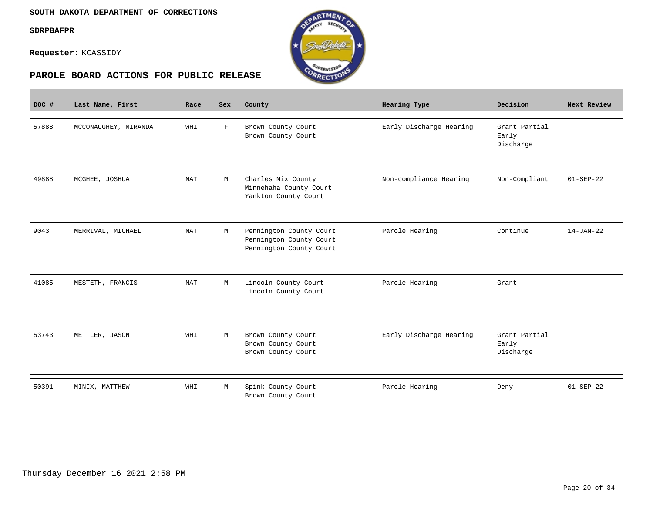$\mathbb{R}^n$ 

**Requester:** KCASSIDY



| DOC # | Last Name, First     | Race       | Sex         | County                                                                        | Hearing Type            | Decision                            | Next Review     |
|-------|----------------------|------------|-------------|-------------------------------------------------------------------------------|-------------------------|-------------------------------------|-----------------|
| 57888 | MCCONAUGHEY, MIRANDA | WHI        | $\mathbf F$ | Brown County Court<br>Brown County Court                                      | Early Discharge Hearing | Grant Partial<br>Early<br>Discharge |                 |
| 49888 | MCGHEE, JOSHUA       | <b>NAT</b> | M           | Charles Mix County<br>Minnehaha County Court<br>Yankton County Court          | Non-compliance Hearing  | Non-Compliant                       | $01 - SEP - 22$ |
| 9043  | MERRIVAL, MICHAEL    | <b>NAT</b> | М           | Pennington County Court<br>Pennington County Court<br>Pennington County Court | Parole Hearing          | Continue                            | $14 - JAN - 22$ |
| 41085 | MESTETH, FRANCIS     | <b>NAT</b> | М           | Lincoln County Court<br>Lincoln County Court                                  | Parole Hearing          | Grant                               |                 |
| 53743 | METTLER, JASON       | WHI        | M           | Brown County Court<br>Brown County Court<br>Brown County Court                | Early Discharge Hearing | Grant Partial<br>Early<br>Discharge |                 |
| 50391 | MINIX, MATTHEW       | WHI        | М           | Spink County Court<br>Brown County Court                                      | Parole Hearing          | Deny                                | $01 - SEP - 22$ |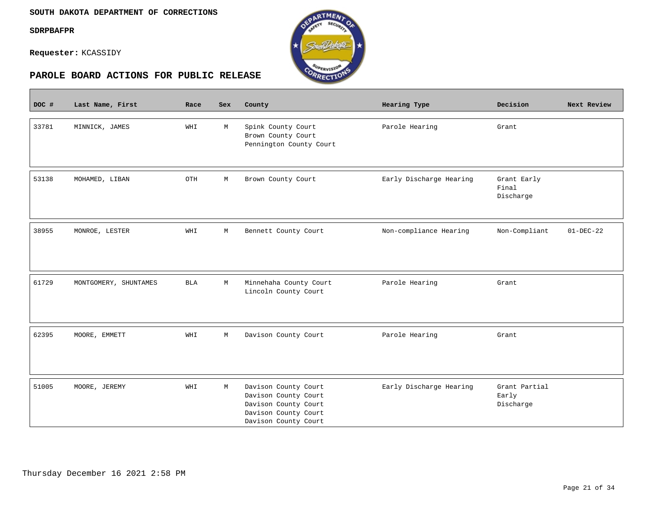$\sim$ 

**Requester:** KCASSIDY



| DOC # | Last Name, First      | Race       | <b>Sex</b> | County                                                                                                               | Hearing Type            | Decision                            | Next Review     |
|-------|-----------------------|------------|------------|----------------------------------------------------------------------------------------------------------------------|-------------------------|-------------------------------------|-----------------|
| 33781 | MINNICK, JAMES        | WHI        | М          | Spink County Court<br>Brown County Court<br>Pennington County Court                                                  | Parole Hearing          | Grant                               |                 |
| 53138 | MOHAMED, LIBAN        | OTH        | М          | Brown County Court                                                                                                   | Early Discharge Hearing | Grant Early<br>Final<br>Discharge   |                 |
| 38955 | MONROE, LESTER        | WHI        | М          | Bennett County Court                                                                                                 | Non-compliance Hearing  | Non-Compliant                       | $01 - DEC - 22$ |
| 61729 | MONTGOMERY, SHUNTAMES | <b>BLA</b> | М          | Minnehaha County Court<br>Lincoln County Court                                                                       | Parole Hearing          | Grant                               |                 |
| 62395 | MOORE, EMMETT         | WHI        | М          | Davison County Court                                                                                                 | Parole Hearing          | Grant                               |                 |
| 51005 | MOORE, JEREMY         | WHI        | М          | Davison County Court<br>Davison County Court<br>Davison County Court<br>Davison County Court<br>Davison County Court | Early Discharge Hearing | Grant Partial<br>Early<br>Discharge |                 |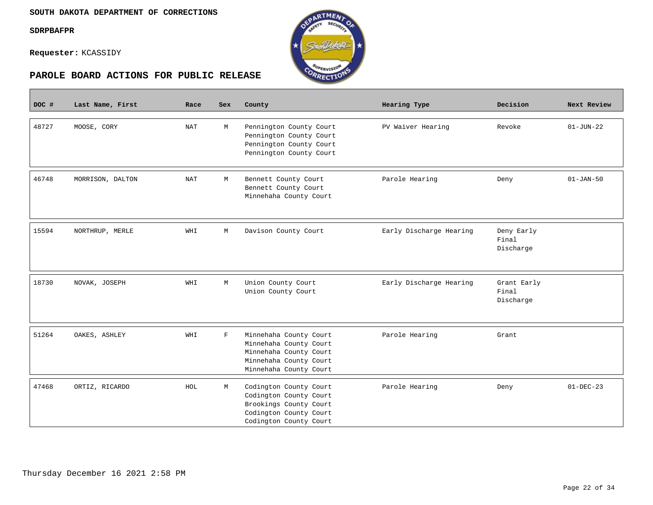П

**Requester:** KCASSIDY





| DOC # | Last Name, First | Race | <b>Sex</b>  | County                                                                                                                         | Hearing Type            | Decision                          | Next Review     |
|-------|------------------|------|-------------|--------------------------------------------------------------------------------------------------------------------------------|-------------------------|-----------------------------------|-----------------|
| 48727 | MOOSE, CORY      | NAT  | M           | Pennington County Court<br>Pennington County Court<br>Pennington County Court<br>Pennington County Court                       | PV Waiver Hearing       | Revoke                            | $01 - JUN - 22$ |
| 46748 | MORRISON, DALTON | NAT  | М           | Bennett County Court<br>Bennett County Court<br>Minnehaha County Court                                                         | Parole Hearing          | Deny                              | $01 - JAN - 50$ |
| 15594 | NORTHRUP, MERLE  | WHI  | М           | Davison County Court                                                                                                           | Early Discharge Hearing | Deny Early<br>Final<br>Discharge  |                 |
| 18730 | NOVAK, JOSEPH    | WHI  | М           | Union County Court<br>Union County Court                                                                                       | Early Discharge Hearing | Grant Early<br>Final<br>Discharge |                 |
| 51264 | OAKES, ASHLEY    | WHI  | $\mathbf F$ | Minnehaha County Court<br>Minnehaha County Court<br>Minnehaha County Court<br>Minnehaha County Court<br>Minnehaha County Court | Parole Hearing          | Grant                             |                 |
| 47468 | ORTIZ, RICARDO   | HOL  | М           | Codington County Court<br>Codington County Court<br>Brookings County Court<br>Codington County Court<br>Codington County Court | Parole Hearing          | Deny                              | $01-DEC-23$     |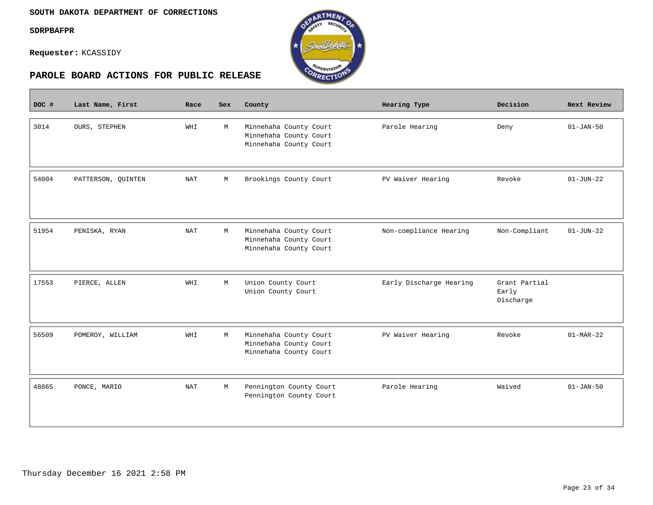$\sim$ 

**Requester:** KCASSIDY



| DOC # | Last Name, First   | Race       | Sex | County                                                                     | Hearing Type            | Decision                            | Next Review     |
|-------|--------------------|------------|-----|----------------------------------------------------------------------------|-------------------------|-------------------------------------|-----------------|
| 3014  | OURS, STEPHEN      | WHI        | M   | Minnehaha County Court<br>Minnehaha County Court<br>Minnehaha County Court | Parole Hearing          | Deny                                | $01 - JAN - 50$ |
| 54004 | PATTERSON, QUINTEN | <b>NAT</b> | M   | Brookings County Court                                                     | PV Waiver Hearing       | Revoke                              | $01 - JUN - 22$ |
| 51954 | PENISKA, RYAN      | <b>NAT</b> | М   | Minnehaha County Court<br>Minnehaha County Court<br>Minnehaha County Court | Non-compliance Hearing  | Non-Compliant                       | $01-JUN-22$     |
| 17553 | PIERCE, ALLEN      | WHI        | M   | Union County Court<br>Union County Court                                   | Early Discharge Hearing | Grant Partial<br>Early<br>Discharge |                 |
| 56509 | POMEROY, WILLIAM   | WHI        | М   | Minnehaha County Court<br>Minnehaha County Court<br>Minnehaha County Court | PV Waiver Hearing       | Revoke                              | $01-MAR-22$     |
| 48865 | PONCE, MARIO       | <b>NAT</b> | М   | Pennington County Court<br>Pennington County Court                         | Parole Hearing          | Waived                              | $01 - JAN - 50$ |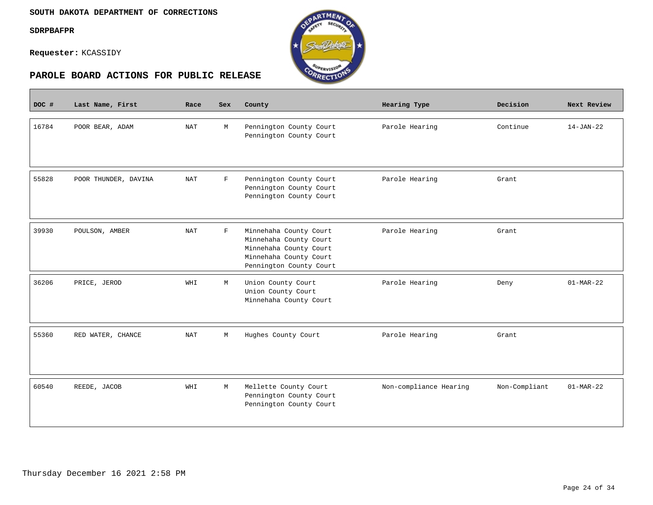$\overline{\phantom{a}}$ 

**Requester:** KCASSIDY



| DOC # | Last Name, First     | Race       | Sex          | County                                                                                                                          | Hearing Type           | Decision      | Next Review     |
|-------|----------------------|------------|--------------|---------------------------------------------------------------------------------------------------------------------------------|------------------------|---------------|-----------------|
| 16784 | POOR BEAR, ADAM      | <b>NAT</b> | М            | Pennington County Court<br>Pennington County Court                                                                              | Parole Hearing         | Continue      | $14 - JAN - 22$ |
| 55828 | POOR THUNDER, DAVINA | <b>NAT</b> | $\mathbf F$  | Pennington County Court<br>Pennington County Court<br>Pennington County Court                                                   | Parole Hearing         | Grant         |                 |
| 39930 | POULSON, AMBER       | <b>NAT</b> | $\mathbf{F}$ | Minnehaha County Court<br>Minnehaha County Court<br>Minnehaha County Court<br>Minnehaha County Court<br>Pennington County Court | Parole Hearing         | Grant         |                 |
| 36206 | PRICE, JEROD         | WHI        | М            | Union County Court<br>Union County Court<br>Minnehaha County Court                                                              | Parole Hearing         | Deny          | $01-MAR-22$     |
| 55360 | RED WATER, CHANCE    | NAT        | М            | Hughes County Court                                                                                                             | Parole Hearing         | Grant         |                 |
| 60540 | REEDE, JACOB         | WHI        | М            | Mellette County Court<br>Pennington County Court<br>Pennington County Court                                                     | Non-compliance Hearing | Non-Compliant | $01-MAR-22$     |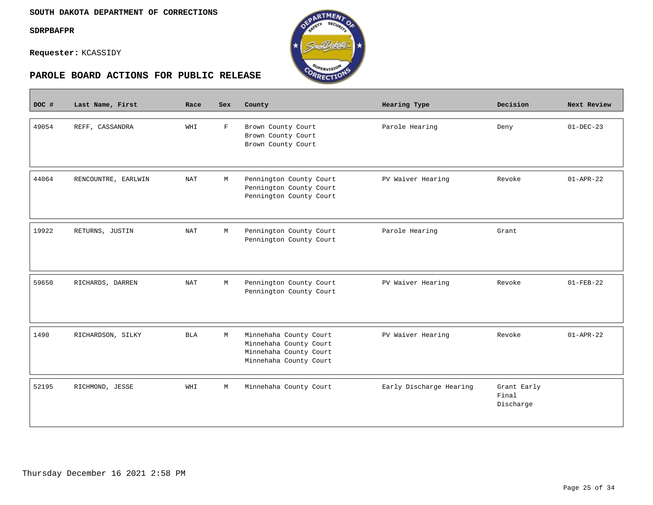$\mathcal{L}^{\text{max}}_{\text{max}}$ 

**Requester:** KCASSIDY



| DOC # | Last Name, First    | Race                 | Sex         | County                                                                                               | Hearing Type            | Decision                          | Next Review     |
|-------|---------------------|----------------------|-------------|------------------------------------------------------------------------------------------------------|-------------------------|-----------------------------------|-----------------|
| 49054 | REFF, CASSANDRA     | WHI                  | $\mathbf F$ | Brown County Court<br>Brown County Court<br>Brown County Court                                       | Parole Hearing          | Deny                              | $01-DEC-23$     |
| 44064 | RENCOUNTRE, EARLWIN | $\operatorname{NAT}$ | М           | Pennington County Court<br>Pennington County Court<br>Pennington County Court                        | PV Waiver Hearing       | Revoke                            | $01 - APR - 22$ |
| 19922 | RETURNS, JUSTIN     | <b>NAT</b>           | М           | Pennington County Court<br>Pennington County Court                                                   | Parole Hearing          | Grant                             |                 |
| 59650 | RICHARDS, DARREN    | NAT                  | М           | Pennington County Court<br>Pennington County Court                                                   | PV Waiver Hearing       | Revoke                            | $01 - FEB - 22$ |
| 1490  | RICHARDSON, SILKY   | <b>BLA</b>           | M           | Minnehaha County Court<br>Minnehaha County Court<br>Minnehaha County Court<br>Minnehaha County Court | PV Waiver Hearing       | Revoke                            | $01 - APR - 22$ |
| 52195 | RICHMOND, JESSE     | WHI                  | М           | Minnehaha County Court                                                                               | Early Discharge Hearing | Grant Early<br>Final<br>Discharge |                 |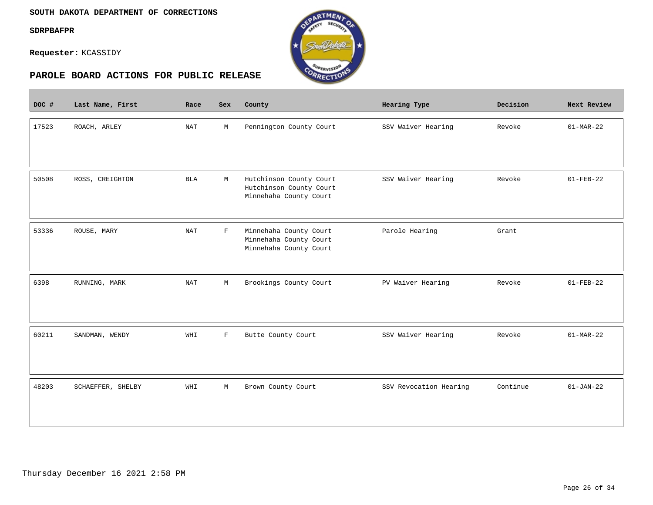#### **SOUTH DAKOTA DEPARTMENT OF CORRECTIONS**

**SDRPBAFPR**

 $\overline{\phantom{a}}$ 

**Requester:** KCASSIDY



| DOC # | Last Name, First  | Race       | <b>Sex</b>  | County                                                                       | Hearing Type           | Decision | Next Review     |
|-------|-------------------|------------|-------------|------------------------------------------------------------------------------|------------------------|----------|-----------------|
| 17523 | ROACH, ARLEY      | <b>NAT</b> | М           | Pennington County Court                                                      | SSV Waiver Hearing     | Revoke   | $01-MAR-22$     |
| 50508 | ROSS, CREIGHTON   | <b>BLA</b> | M           | Hutchinson County Court<br>Hutchinson County Court<br>Minnehaha County Court | SSV Waiver Hearing     | Revoke   | $01 - FEB - 22$ |
| 53336 | ROUSE, MARY       | <b>NAT</b> | $\mathbf F$ | Minnehaha County Court<br>Minnehaha County Court<br>Minnehaha County Court   | Parole Hearing         | Grant    |                 |
| 6398  | RUNNING, MARK     | <b>NAT</b> | М           | Brookings County Court                                                       | PV Waiver Hearing      | Revoke   | $01 - FEB - 22$ |
| 60211 | SANDMAN, WENDY    | WHI        | $\mathbf F$ | Butte County Court                                                           | SSV Waiver Hearing     | Revoke   | $01-MAR-22$     |
| 48203 | SCHAEFFER, SHELBY | WHI        | $\mathbb M$ | Brown County Court                                                           | SSV Revocation Hearing | Continue | $01-JAN-22$     |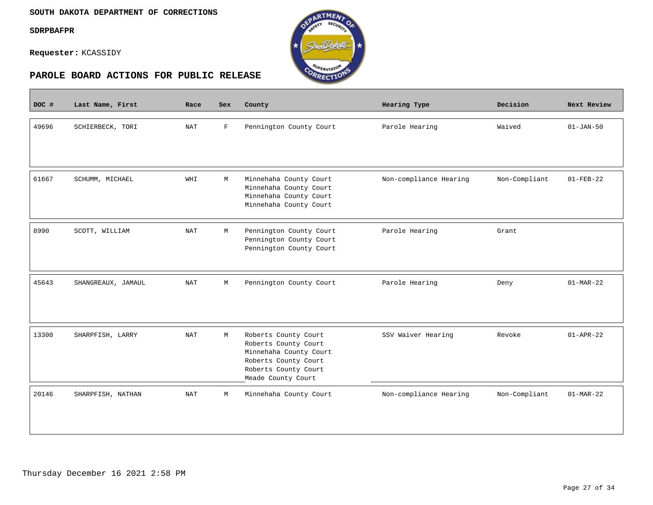#### **SOUTH DAKOTA DEPARTMENT OF CORRECTIONS**

#### **SDRPBAFPR**

 $\equiv$ 

**Requester:** KCASSIDY



| DOC # | Last Name, First   | Race       | Sex         | County                                                                                                                                       | Hearing Type           | Decision      | Next Review     |
|-------|--------------------|------------|-------------|----------------------------------------------------------------------------------------------------------------------------------------------|------------------------|---------------|-----------------|
| 49696 | SCHIERBECK, TORI   | NAT        | $\mathbf F$ | Pennington County Court                                                                                                                      | Parole Hearing         | Waived        | $01 - JAN-50$   |
| 61667 | SCHUMM, MICHAEL    | WHI        | М           | Minnehaha County Court<br>Minnehaha County Court<br>Minnehaha County Court<br>Minnehaha County Court                                         | Non-compliance Hearing | Non-Compliant | $01 - FEB - 22$ |
| 8990  | SCOTT, WILLIAM     | <b>NAT</b> | М           | Pennington County Court<br>Pennington County Court<br>Pennington County Court                                                                | Parole Hearing         | Grant         |                 |
| 45643 | SHANGREAUX, JAMAUL | <b>NAT</b> | М           | Pennington County Court                                                                                                                      | Parole Hearing         | Deny          | $01-MAR-22$     |
| 13300 | SHARPFISH, LARRY   | <b>NAT</b> | M           | Roberts County Court<br>Roberts County Court<br>Minnehaha County Court<br>Roberts County Court<br>Roberts County Court<br>Meade County Court | SSV Waiver Hearing     | Revoke        | $01 - APR - 22$ |
| 20146 | SHARPFISH, NATHAN  | NAT        | М           | Minnehaha County Court                                                                                                                       | Non-compliance Hearing | Non-Compliant | $01-MAR-22$     |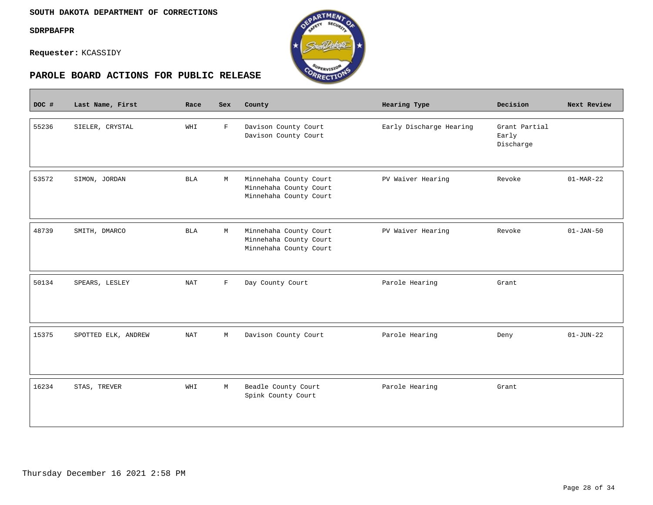$\mathcal{L}^{\text{max}}_{\text{max}}$ 

**Requester:** KCASSIDY



| DOC # | Last Name, First    | Race       | Sex          | County                                                                     | Hearing Type            | Decision                            | Next Review     |
|-------|---------------------|------------|--------------|----------------------------------------------------------------------------|-------------------------|-------------------------------------|-----------------|
| 55236 | SIELER, CRYSTAL     | WHI        | $\mathbf{F}$ | Davison County Court<br>Davison County Court                               | Early Discharge Hearing | Grant Partial<br>Early<br>Discharge |                 |
| 53572 | SIMON, JORDAN       | <b>BLA</b> | M            | Minnehaha County Court<br>Minnehaha County Court<br>Minnehaha County Court | PV Waiver Hearing       | Revoke                              | $01-MAR-22$     |
| 48739 | SMITH, DMARCO       | <b>BLA</b> | М            | Minnehaha County Court<br>Minnehaha County Court<br>Minnehaha County Court | PV Waiver Hearing       | Revoke                              | $01 - JAN - 50$ |
| 50134 | SPEARS, LESLEY      | <b>NAT</b> | $\mathbf F$  | Day County Court                                                           | Parole Hearing          | Grant                               |                 |
| 15375 | SPOTTED ELK, ANDREW | NAT        | М            | Davison County Court                                                       | Parole Hearing          | Deny                                | $01 - JUN - 22$ |
| 16234 | STAS, TREVER        | WHI        | М            | Beadle County Court<br>Spink County Court                                  | Parole Hearing          | Grant                               |                 |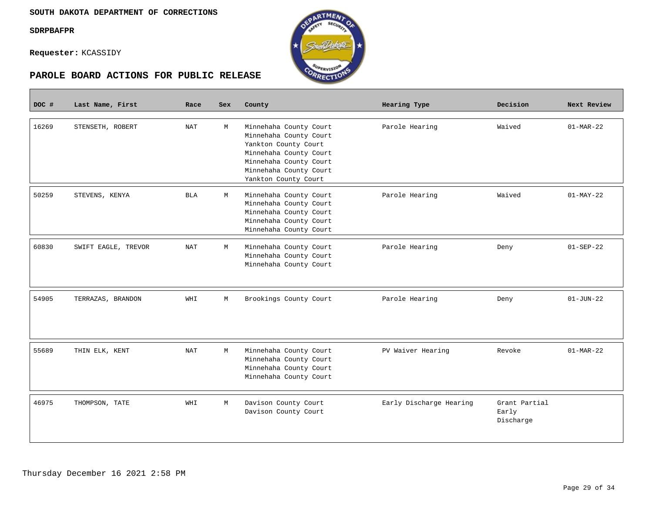**Contract** 

**Requester:** KCASSIDY



| DOC # | Last Name, First    | Race       | <b>Sex</b> | County                                                                                                                                                                         | Hearing Type            | Decision                            | Next Review     |
|-------|---------------------|------------|------------|--------------------------------------------------------------------------------------------------------------------------------------------------------------------------------|-------------------------|-------------------------------------|-----------------|
| 16269 | STENSETH, ROBERT    | <b>NAT</b> | M          | Minnehaha County Court<br>Minnehaha County Court<br>Yankton County Court<br>Minnehaha County Court<br>Minnehaha County Court<br>Minnehaha County Court<br>Yankton County Court | Parole Hearing          | Waived                              | $01-MAR-22$     |
| 50259 | STEVENS, KENYA      | BLA        | М          | Minnehaha County Court<br>Minnehaha County Court<br>Minnehaha County Court<br>Minnehaha County Court<br>Minnehaha County Court                                                 | Parole Hearing          | Waived                              | $01-MAY-22$     |
| 60830 | SWIFT EAGLE, TREVOR | NAT        | M          | Minnehaha County Court<br>Minnehaha County Court<br>Minnehaha County Court                                                                                                     | Parole Hearing          | Deny                                | $01 - SEP - 22$ |
| 54905 | TERRAZAS, BRANDON   | WHI        | M          | Brookings County Court                                                                                                                                                         | Parole Hearing          | Deny                                | $01 - JUN - 22$ |
| 55689 | THIN ELK, KENT      | NAT        | М          | Minnehaha County Court<br>Minnehaha County Court<br>Minnehaha County Court<br>Minnehaha County Court                                                                           | PV Waiver Hearing       | Revoke                              | $01-MAR-22$     |
| 46975 | THOMPSON, TATE      | WHI        | M          | Davison County Court<br>Davison County Court                                                                                                                                   | Early Discharge Hearing | Grant Partial<br>Early<br>Discharge |                 |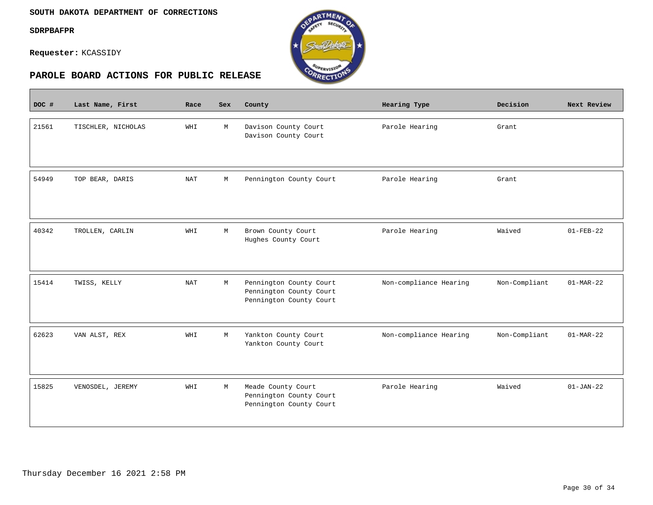$\mathcal{L}^{\text{max}}_{\text{max}}$ 

**Requester:** KCASSIDY



| DOC # | Last Name, First   | Race       | Sex | County                                                                        | Hearing Type           | Decision      | Next Review     |
|-------|--------------------|------------|-----|-------------------------------------------------------------------------------|------------------------|---------------|-----------------|
| 21561 | TISCHLER, NICHOLAS | WHI        | M   | Davison County Court<br>Davison County Court                                  | Parole Hearing         | Grant         |                 |
| 54949 | TOP BEAR, DARIS    | <b>NAT</b> | М   | Pennington County Court                                                       | Parole Hearing         | Grant         |                 |
| 40342 | TROLLEN, CARLIN    | WHI        | M   | Brown County Court<br>Hughes County Court                                     | Parole Hearing         | Waived        | $01 - FEB - 22$ |
| 15414 | TWISS, KELLY       | <b>NAT</b> | M   | Pennington County Court<br>Pennington County Court<br>Pennington County Court | Non-compliance Hearing | Non-Compliant | $01-MAR-22$     |
| 62623 | VAN ALST, REX      | WHI        | M   | Yankton County Court<br>Yankton County Court                                  | Non-compliance Hearing | Non-Compliant | $01-MAR-22$     |
| 15825 | VENOSDEL, JEREMY   | WHI        | M   | Meade County Court<br>Pennington County Court<br>Pennington County Court      | Parole Hearing         | Waived        | $01-JAN-22$     |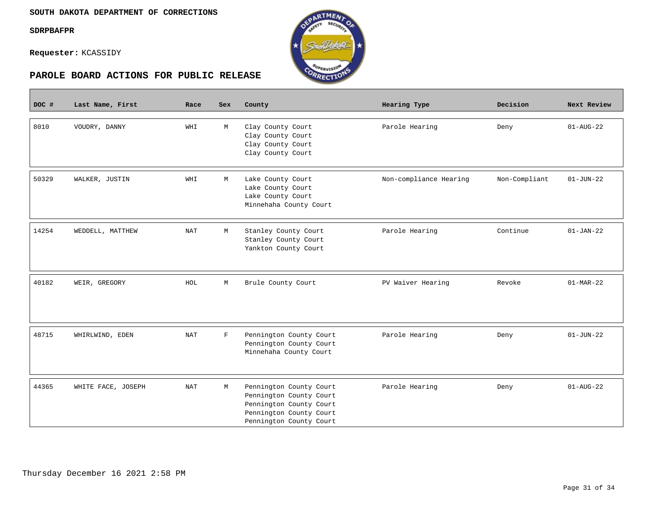**Contract** 

**Requester:** KCASSIDY



| DOC # | Last Name, First   | Race                 | Sex         | County                                                                                                                              | Hearing Type           | Decision      | Next Review     |
|-------|--------------------|----------------------|-------------|-------------------------------------------------------------------------------------------------------------------------------------|------------------------|---------------|-----------------|
| 8010  | VOUDRY, DANNY      | WHI                  | M           | Clay County Court<br>Clay County Court<br>Clay County Court<br>Clay County Court                                                    | Parole Hearing         | Deny          | $01 - AUG - 22$ |
| 50329 | WALKER, JUSTIN     | WHI                  | М           | Lake County Court<br>Lake County Court<br>Lake County Court<br>Minnehaha County Court                                               | Non-compliance Hearing | Non-Compliant | $01 - JUN - 22$ |
| 14254 | WEDDELL, MATTHEW   | <b>NAT</b>           | М           | Stanley County Court<br>Stanley County Court<br>Yankton County Court                                                                | Parole Hearing         | Continue      | $01 - JAN - 22$ |
| 40182 | WEIR, GREGORY      | HOL                  | М           | Brule County Court                                                                                                                  | PV Waiver Hearing      | Revoke        | $01-MAR-22$     |
| 48715 | WHIRLWIND, EDEN    | $\operatorname{NAT}$ | $\mathbf F$ | Pennington County Court<br>Pennington County Court<br>Minnehaha County Court                                                        | Parole Hearing         | Deny          | $01 - JUN - 22$ |
| 44365 | WHITE FACE, JOSEPH | <b>NAT</b>           | М           | Pennington County Court<br>Pennington County Court<br>Pennington County Court<br>Pennington County Court<br>Pennington County Court | Parole Hearing         | Deny          | $01 - AUG - 22$ |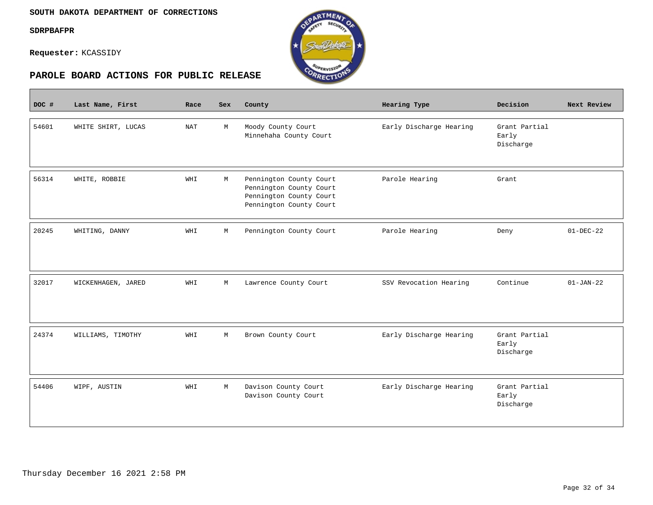$\overline{\phantom{a}}$ 

**Requester:** KCASSIDY



| DOC # | Last Name, First   | Race                 | Sex | County                                                                                                   | Hearing Type            | Decision                            | Next Review     |
|-------|--------------------|----------------------|-----|----------------------------------------------------------------------------------------------------------|-------------------------|-------------------------------------|-----------------|
| 54601 | WHITE SHIRT, LUCAS | $\operatorname{NAT}$ | M   | Moody County Court<br>Minnehaha County Court                                                             | Early Discharge Hearing | Grant Partial<br>Early<br>Discharge |                 |
| 56314 | WHITE, ROBBIE      | WHI                  | M   | Pennington County Court<br>Pennington County Court<br>Pennington County Court<br>Pennington County Court | Parole Hearing          | Grant                               |                 |
| 20245 | WHITING, DANNY     | WHI                  | М   | Pennington County Court                                                                                  | Parole Hearing          | Deny                                | $01 - DEC - 22$ |
| 32017 | WICKENHAGEN, JARED | WHI                  | M   | Lawrence County Court                                                                                    | SSV Revocation Hearing  | Continue                            | $01 - JAN - 22$ |
| 24374 | WILLIAMS, TIMOTHY  | WHI                  | М   | Brown County Court                                                                                       | Early Discharge Hearing | Grant Partial<br>Early<br>Discharge |                 |
| 54406 | WIPF, AUSTIN       | WHI                  | M   | Davison County Court<br>Davison County Court                                                             | Early Discharge Hearing | Grant Partial<br>Early<br>Discharge |                 |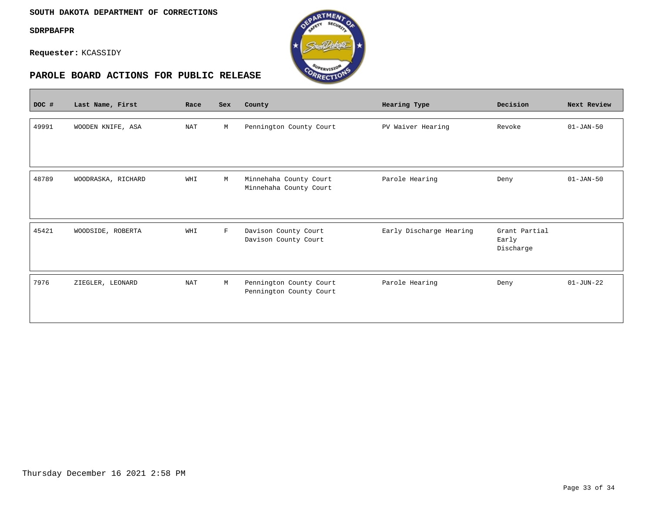#### **SOUTH DAKOTA DEPARTMENT OF CORRECTIONS**

**SDRPBAFPR**

 $\overline{\phantom{a}}$ 

**Requester:** KCASSIDY



| DOC # | Last Name, First   | Race       | Sex         | County                                             | Hearing Type            | Decision                            | Next Review     |
|-------|--------------------|------------|-------------|----------------------------------------------------|-------------------------|-------------------------------------|-----------------|
| 49991 | WOODEN KNIFE, ASA  | <b>NAT</b> | М           | Pennington County Court                            | PV Waiver Hearing       | Revoke                              | $01 - JAN - 50$ |
| 48789 | WOODRASKA, RICHARD | WHI        | М           | Minnehaha County Court<br>Minnehaha County Court   | Parole Hearing          | Deny                                | $01 - JAN - 50$ |
| 45421 | WOODSIDE, ROBERTA  | WHI        | $\mathbf F$ | Davison County Court<br>Davison County Court       | Early Discharge Hearing | Grant Partial<br>Early<br>Discharge |                 |
| 7976  | ZIEGLER, LEONARD   | <b>NAT</b> | М           | Pennington County Court<br>Pennington County Court | Parole Hearing          | Deny                                | $01 - JUN - 22$ |